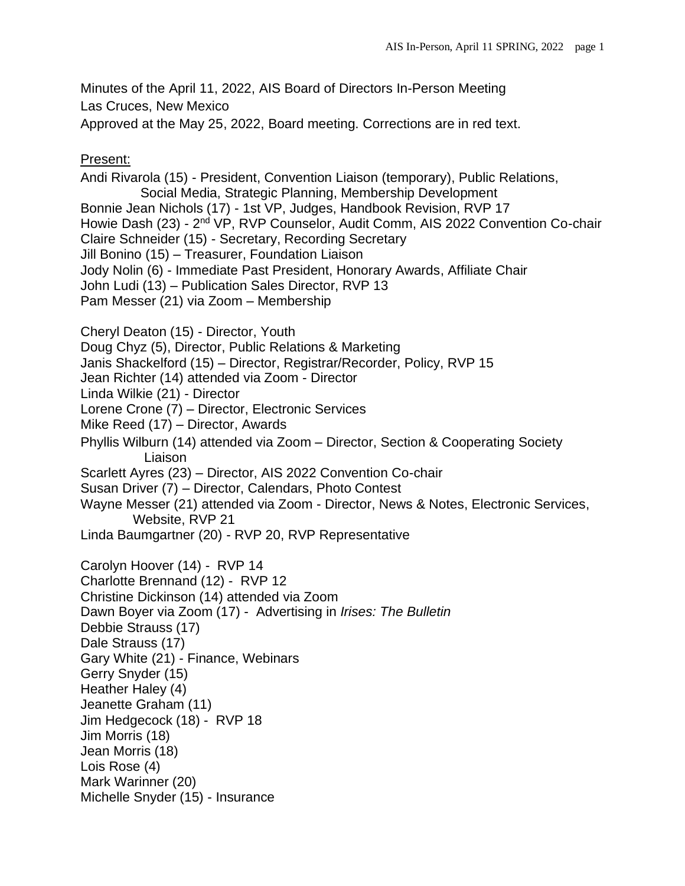Minutes of the April 11, 2022, AIS Board of Directors In-Person Meeting Las Cruces, New Mexico

Approved at the May 25, 2022, Board meeting. Corrections are in red text.

Present:

Andi Rivarola (15) - President, Convention Liaison (temporary), Public Relations, Social Media, Strategic Planning, Membership Development Bonnie Jean Nichols (17) - 1st VP, Judges, Handbook Revision, RVP 17 Howie Dash (23) - 2<sup>nd</sup> VP, RVP Counselor, Audit Comm, AIS 2022 Convention Co-chair Claire Schneider (15) - Secretary, Recording Secretary Jill Bonino (15) – Treasurer, Foundation Liaison Jody Nolin (6) - Immediate Past President, Honorary Awards, Affiliate Chair John Ludi (13) – Publication Sales Director, RVP 13 Pam Messer (21) via Zoom – Membership Cheryl Deaton (15) - Director, Youth Doug Chyz (5), Director, Public Relations & Marketing Janis Shackelford (15) – Director, Registrar/Recorder, Policy, RVP 15 Jean Richter (14) attended via Zoom - Director Linda Wilkie (21) - Director Lorene Crone (7) – Director, Electronic Services Mike Reed (17) – Director, Awards Phyllis Wilburn (14) attended via Zoom – Director, Section & Cooperating Society Liaison Scarlett Ayres (23) – Director, AIS 2022 Convention Co-chair Susan Driver (7) – Director, Calendars, Photo Contest Wayne Messer (21) attended via Zoom - Director, News & Notes, Electronic Services, Website, RVP 21 Linda Baumgartner (20) - RVP 20, RVP Representative Carolyn Hoover (14) - RVP 14 Charlotte Brennand (12) - RVP 12 Christine Dickinson (14) attended via Zoom Dawn Boyer via Zoom (17) - Advertising in *Irises: The Bulletin* Debbie Strauss (17) Dale Strauss (17) Gary White (21) - Finance, Webinars Gerry Snyder (15) Heather Haley (4) Jeanette Graham (11) Jim Hedgecock (18) - RVP 18 Jim Morris (18) Jean Morris (18) Lois Rose (4) Mark Warinner (20) Michelle Snyder (15) - Insurance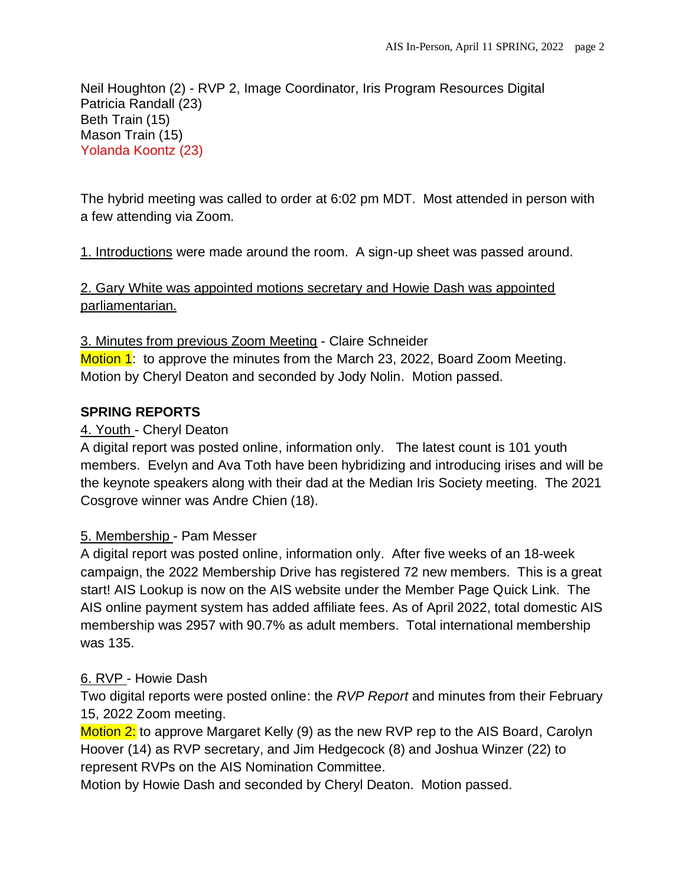Neil Houghton (2) - RVP 2, Image Coordinator, Iris Program Resources Digital Patricia Randall (23) Beth Train (15) Mason Train (15) Yolanda Koontz (23)

The hybrid meeting was called to order at 6:02 pm MDT. Most attended in person with a few attending via Zoom.

1. Introductions were made around the room. A sign-up sheet was passed around.

2. Gary White was appointed motions secretary and Howie Dash was appointed parliamentarian.

3. Minutes from previous Zoom Meeting - Claire Schneider Motion 1: to approve the minutes from the March 23, 2022, Board Zoom Meeting. Motion by Cheryl Deaton and seconded by Jody Nolin. Motion passed.

### **SPRING REPORTS**

### 4. Youth - Cheryl Deaton

A digital report was posted online, information only. The latest count is 101 youth members. Evelyn and Ava Toth have been hybridizing and introducing irises and will be the keynote speakers along with their dad at the Median Iris Society meeting. The 2021 Cosgrove winner was Andre Chien (18).

### 5. Membership - Pam Messer

A digital report was posted online, information only. After five weeks of an 18-week campaign, the 2022 Membership Drive has registered 72 new members. This is a great start! AIS Lookup is now on the AIS website under the Member Page Quick Link. The AIS online payment system has added affiliate fees. As of April 2022, total domestic AIS membership was 2957 with 90.7% as adult members. Total international membership was 135.

# 6. RVP - Howie Dash

Two digital reports were posted online: the *RVP Report* and minutes from their February 15, 2022 Zoom meeting.

Motion 2: to approve Margaret Kelly (9) as the new RVP rep to the AIS Board, Carolyn Hoover (14) as RVP secretary, and Jim Hedgecock (8) and Joshua Winzer (22) to represent RVPs on the AIS Nomination Committee.

Motion by Howie Dash and seconded by Cheryl Deaton. Motion passed.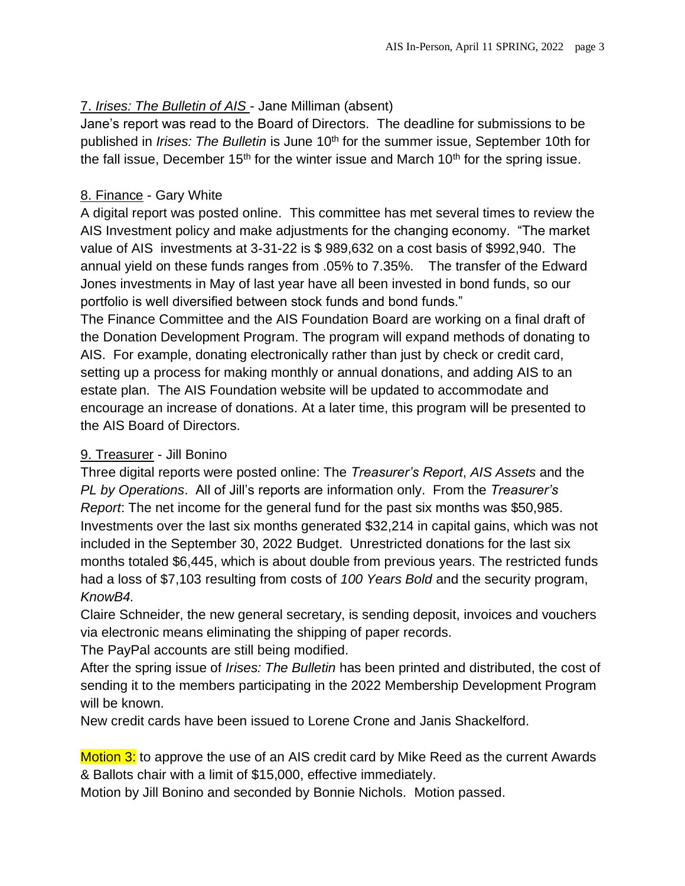# 7. *Irises: The Bulletin of AIS* - Jane Milliman (absent)

Jane's report was read to the Board of Directors. The deadline for submissions to be published in *Irises: The Bulletin* is June 10th for the summer issue, September 10th for the fall issue, December  $15<sup>th</sup>$  for the winter issue and March  $10<sup>th</sup>$  for the spring issue.

### 8. Finance - Gary White

A digital report was posted online. This committee has met several times to review the AIS Investment policy and make adjustments for the changing economy. "The market value of AIS investments at 3-31-22 is \$ 989,632 on a cost basis of \$992,940. The annual yield on these funds ranges from .05% to 7.35%. The transfer of the Edward Jones investments in May of last year have all been invested in bond funds, so our portfolio is well diversified between stock funds and bond funds."

The Finance Committee and the AIS Foundation Board are working on a final draft of the Donation Development Program. The program will expand methods of donating to AIS. For example, donating electronically rather than just by check or credit card, setting up a process for making monthly or annual donations, and adding AIS to an estate plan. The AIS Foundation website will be updated to accommodate and encourage an increase of donations. At a later time, this program will be presented to the AIS Board of Directors.

# 9. Treasurer - Jill Bonino

Three digital reports were posted online: The *Treasurer's Report*, *AIS Assets* and the *PL by Operations*. All of Jill's reports are information only. From the *Treasurer's Report*: The net income for the general fund for the past six months was \$50,985. Investments over the last six months generated \$32,214 in capital gains, which was not included in the September 30, 2022 Budget. Unrestricted donations for the last six months totaled \$6,445, which is about double from previous years. The restricted funds had a loss of \$7,103 resulting from costs of *100 Years Bold* and the security program, *KnowB4.*

Claire Schneider, the new general secretary, is sending deposit, invoices and vouchers via electronic means eliminating the shipping of paper records.

The PayPal accounts are still being modified.

After the spring issue of *Irises: The Bulletin* has been printed and distributed, the cost of sending it to the members participating in the 2022 Membership Development Program will be known.

New credit cards have been issued to Lorene Crone and Janis Shackelford.

Motion 3: to approve the use of an AIS credit card by Mike Reed as the current Awards & Ballots chair with a limit of \$15,000, effective immediately.

Motion by Jill Bonino and seconded by Bonnie Nichols. Motion passed.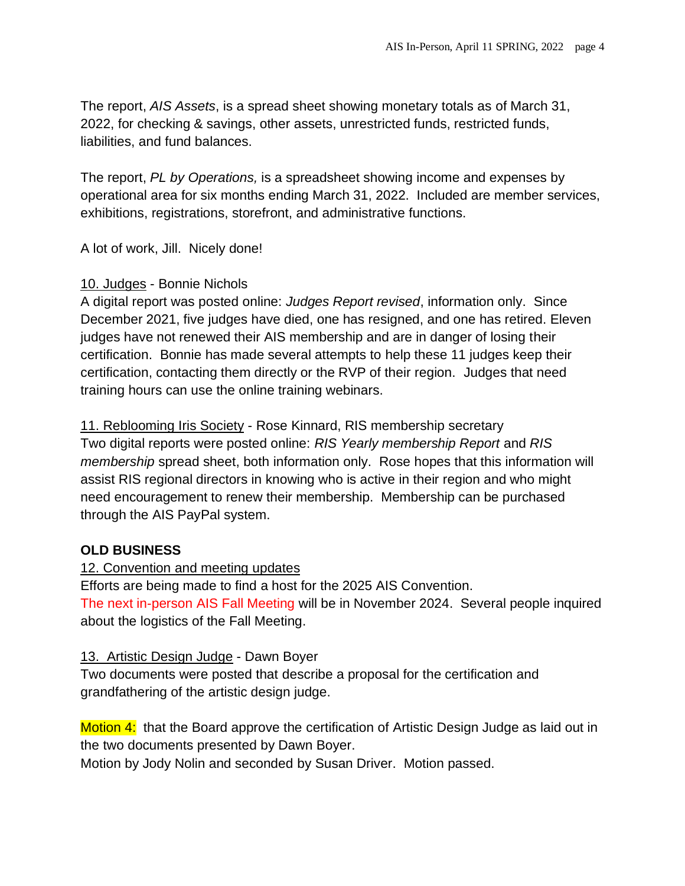The report, *AIS Assets*, is a spread sheet showing monetary totals as of March 31, 2022, for checking & savings, other assets, unrestricted funds, restricted funds, liabilities, and fund balances.

The report, *PL by Operations,* is a spreadsheet showing income and expenses by operational area for six months ending March 31, 2022. Included are member services, exhibitions, registrations, storefront, and administrative functions.

A lot of work, Jill. Nicely done!

### 10. Judges - Bonnie Nichols

A digital report was posted online: *Judges Report revised*, information only. Since December 2021, five judges have died, one has resigned, and one has retired. Eleven judges have not renewed their AIS membership and are in danger of losing their certification. Bonnie has made several attempts to help these 11 judges keep their certification, contacting them directly or the RVP of their region. Judges that need training hours can use the online training webinars.

11. Reblooming Iris Society - Rose Kinnard, RIS membership secretary Two digital reports were posted online: *RIS Yearly membership Report* and *RIS membership* spread sheet, both information only. Rose hopes that this information will assist RIS regional directors in knowing who is active in their region and who might need encouragement to renew their membership. Membership can be purchased through the AIS PayPal system.

# **OLD BUSINESS**

### 12. Convention and meeting updates

Efforts are being made to find a host for the 2025 AIS Convention. The next in-person AIS Fall Meeting will be in November 2024. Several people inquired about the logistics of the Fall Meeting.

### 13. Artistic Design Judge - Dawn Boyer

Two documents were posted that describe a proposal for the certification and grandfathering of the artistic design judge.

Motion 4: that the Board approve the certification of Artistic Design Judge as laid out in the two documents presented by Dawn Boyer.

Motion by Jody Nolin and seconded by Susan Driver. Motion passed.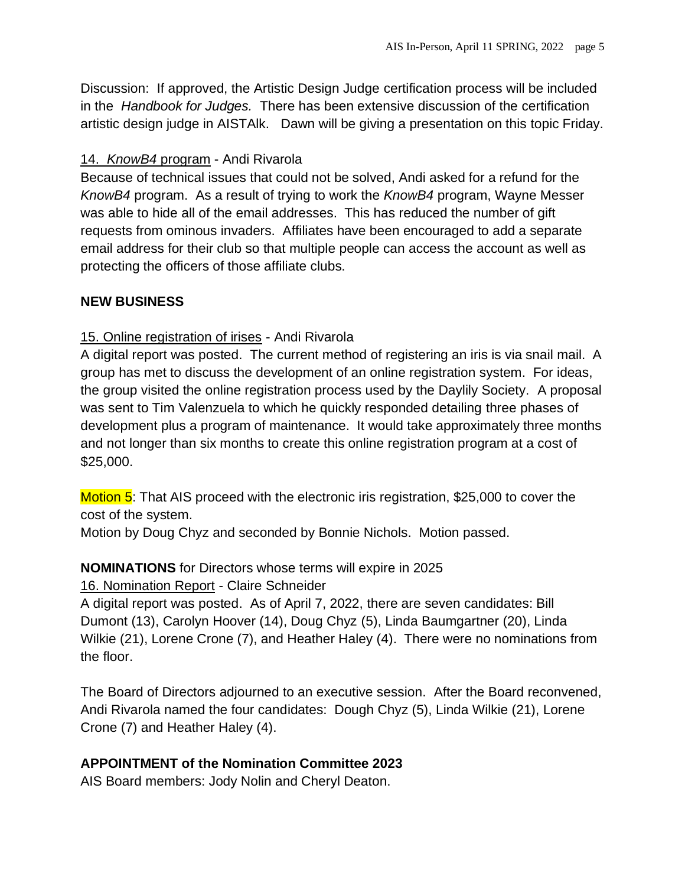Discussion: If approved, the Artistic Design Judge certification process will be included in the *Handbook for Judges.* There has been extensive discussion of the certification artistic design judge in AISTAlk. Dawn will be giving a presentation on this topic Friday.

### 14. *KnowB4* program - Andi Rivarola

Because of technical issues that could not be solved, Andi asked for a refund for the *KnowB4* program. As a result of trying to work the *KnowB4* program, Wayne Messer was able to hide all of the email addresses. This has reduced the number of gift requests from ominous invaders. Affiliates have been encouraged to add a separate email address for their club so that multiple people can access the account as well as protecting the officers of those affiliate clubs.

### **NEW BUSINESS**

### 15. Online registration of irises - Andi Rivarola

A digital report was posted. The current method of registering an iris is via snail mail. A group has met to discuss the development of an online registration system. For ideas, the group visited the online registration process used by the Daylily Society. A proposal was sent to Tim Valenzuela to which he quickly responded detailing three phases of development plus a program of maintenance. It would take approximately three months and not longer than six months to create this online registration program at a cost of \$25,000.

Motion 5: That AIS proceed with the electronic iris registration, \$25,000 to cover the cost of the system.

Motion by Doug Chyz and seconded by Bonnie Nichols. Motion passed.

### **NOMINATIONS** for Directors whose terms will expire in 2025

16. Nomination Report - Claire Schneider

A digital report was posted. As of April 7, 2022, there are seven candidates: Bill Dumont (13), Carolyn Hoover (14), Doug Chyz (5), Linda Baumgartner (20), Linda Wilkie (21), Lorene Crone (7), and Heather Haley (4). There were no nominations from the floor.

The Board of Directors adjourned to an executive session. After the Board reconvened, Andi Rivarola named the four candidates: Dough Chyz (5), Linda Wilkie (21), Lorene Crone (7) and Heather Haley (4).

### **APPOINTMENT of the Nomination Committee 2023**

AIS Board members: Jody Nolin and Cheryl Deaton.